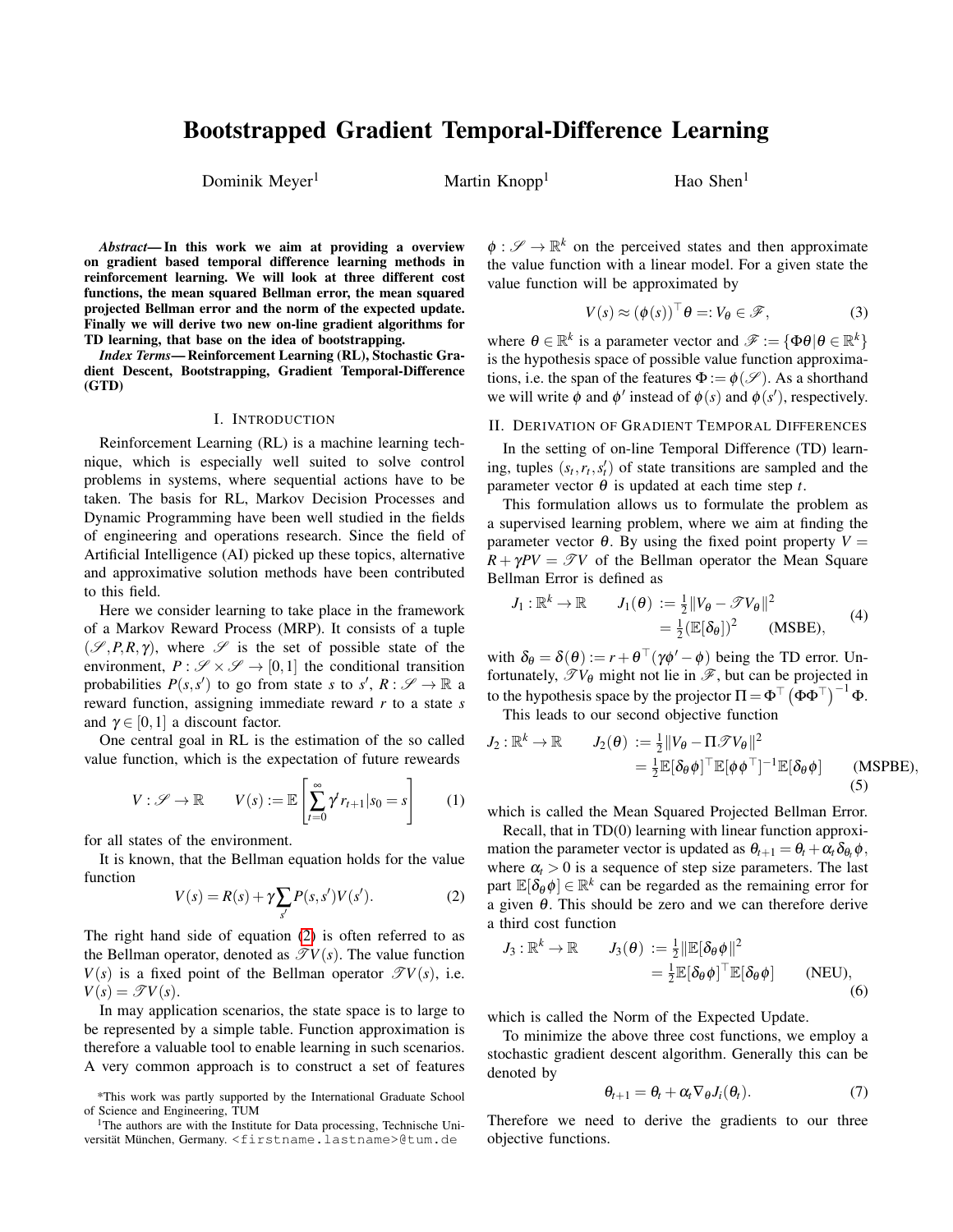# Bootstrapped Gradient Temporal-Difference Learning

Dominik Meyer<sup>1</sup> Martin Knopp<sup>1</sup> Hao Shen<sup>1</sup>

*Abstract*— In this work we aim at providing a overview on gradient based temporal difference learning methods in reinforcement learning. We will look at three different cost functions, the mean squared Bellman error, the mean squared projected Bellman error and the norm of the expected update. Finally we will derive two new on-line gradient algorithms for TD learning, that base on the idea of bootstrapping.

*Index Terms*— Reinforcement Learning (RL), Stochastic Gradient Descent, Bootstrapping, Gradient Temporal-Difference (GTD)

### I. INTRODUCTION

Reinforcement Learning (RL) is a machine learning technique, which is especially well suited to solve control problems in systems, where sequential actions have to be taken. The basis for RL, Markov Decision Processes and Dynamic Programming have been well studied in the fields of engineering and operations research. Since the field of Artificial Intelligence (AI) picked up these topics, alternative and approximative solution methods have been contributed to this field.

Here we consider learning to take place in the framework of a Markov Reward Process (MRP). It consists of a tuple  $(\mathscr{S}, P, R, \gamma)$ , where  $\mathscr{S}$  is the set of possible state of the environment,  $P : \mathscr{S} \times \mathscr{S} \to [0,1]$  the conditional transition probabilities  $P(s, s')$  to go from state *s* to  $s'$ ,  $R: \mathscr{S} \to \mathbb{R}$  a reward function, assigning immediate reward *r* to a state *s* and  $\gamma \in [0,1]$  a discount factor.

One central goal in RL is the estimation of the so called value function, which is the expectation of future reweards

$$
V: \mathscr{S} \to \mathbb{R} \qquad V(s) := \mathbb{E}\left[\sum_{t=0}^{\infty} \gamma^t r_{t+1} | s_0 = s\right] \qquad (1)
$$

for all states of the environment.

It is known, that the Bellman equation holds for the value function

<span id="page-0-0"></span>
$$
V(s) = R(s) + \gamma \sum_{s'} P(s, s') V(s').
$$
 (2)

The right hand side of equation [\(2\)](#page-0-0) is often referred to as the Bellman operator, denoted as  $\mathcal{T} V(s)$ . The value function  $V(s)$  is a fixed point of the Bellman operator  $\mathscr{T}V(s)$ , i.e.  $V(s) = \mathscr{T}V(s)$ .

In may application scenarios, the state space is to large to be represented by a simple table. Function approximation is therefore a valuable tool to enable learning in such scenarios. A very common approach is to construct a set of features

 $\phi : \mathscr{S} \to \mathbb{R}^k$  on the perceived states and then approximate the value function with a linear model. For a given state the value function will be approximated by

$$
V(s) \approx (\phi(s))^{\top} \theta =: V_{\theta} \in \mathscr{F}, \tag{3}
$$

where  $\theta \in \mathbb{R}^k$  is a parameter vector and  $\mathscr{F} := {\phi \theta | \theta \in \mathbb{R}^k}$ is the hypothesis space of possible value function approximations, i.e. the span of the features  $\Phi := \phi(\mathscr{S})$ . As a shorthand we will write  $\phi$  and  $\phi'$  instead of  $\phi(s)$  and  $\phi(s')$ , respectively.

## II. DERIVATION OF GRADIENT TEMPORAL DIFFERENCES

In the setting of on-line Temporal Difference (TD) learning, tuples  $(s_t, r_t, s'_t)$  of state transitions are sampled and the parameter vector  $\theta$  is updated at each time step *t*.

This formulation allows us to formulate the problem as a supervised learning problem, where we aim at finding the parameter vector  $\theta$ . By using the fixed point property  $V =$  $R + \gamma PV = \mathcal{T}V$  of the Bellman operator the Mean Square Bellman Error is defined as

$$
J_1: \mathbb{R}^k \to \mathbb{R} \qquad J_1(\theta) := \frac{1}{2} ||V_{\theta} - \mathcal{F}V_{\theta}||^2
$$
  
=  $\frac{1}{2} (\mathbb{E}[\delta_{\theta}])^2$  (MSBE), (4)

with  $\delta_{\theta} = \delta(\theta) := r + \theta^{\top}(\gamma \phi' - \phi)$  being the TD error. Unfortunately,  $\mathscr{T}V_{\theta}$  might not lie in  $\mathscr{F}$ , but can be projected in to the hypothesis space by the projector  $\Pi = \Phi^{\top} (\Phi \Phi^{\top})^{-1} \Phi$ .

This leads to our second objective function

$$
J_2: \mathbb{R}^k \to \mathbb{R} \qquad J_2(\theta) := \frac{1}{2} ||V_{\theta} - \Pi \mathcal{F} V_{\theta}||^2
$$
  
=  $\frac{1}{2} \mathbb{E} [\delta_{\theta} \phi]^\top \mathbb{E} [\phi \phi^\top]^{-1} \mathbb{E} [\delta_{\theta} \phi]$  (MSPBE),  
(5)

which is called the Mean Squared Projected Bellman Error.

Recall, that in TD(0) learning with linear function approximation the parameter vector is updated as  $\theta_{t+1} = \theta_t + \alpha_t \delta_{\theta_t} \phi$ , where  $\alpha_t > 0$  is a sequence of step size parameters. The last part  $\mathbb{E}[\delta_{\theta} \phi] \in \mathbb{R}^k$  can be regarded as the remaining error for a given θ. This should be zero and we can therefore derive a third cost function

$$
J_3: \mathbb{R}^k \to \mathbb{R} \qquad J_3(\theta) := \frac{1}{2} ||\mathbb{E}[\delta_\theta \phi||^2
$$
  
=  $\frac{1}{2} \mathbb{E}[\delta_\theta \phi]^\top \mathbb{E}[\delta_\theta \phi]$  (NEU),  
(6)

which is called the Norm of the Expected Update.

To minimize the above three cost functions, we employ a stochastic gradient descent algorithm. Generally this can be denoted by

$$
\theta_{t+1} = \theta_t + \alpha_t \nabla_{\theta} J_i(\theta_t). \tag{7}
$$

Therefore we need to derive the gradients to our three objective functions.

<sup>\*</sup>This work was partly supported by the International Graduate School of Science and Engineering, TUM

<sup>&</sup>lt;sup>1</sup>The authors are with the Institute for Data processing, Technische Universität München, Germany. <firstname.lastname>@tum.de